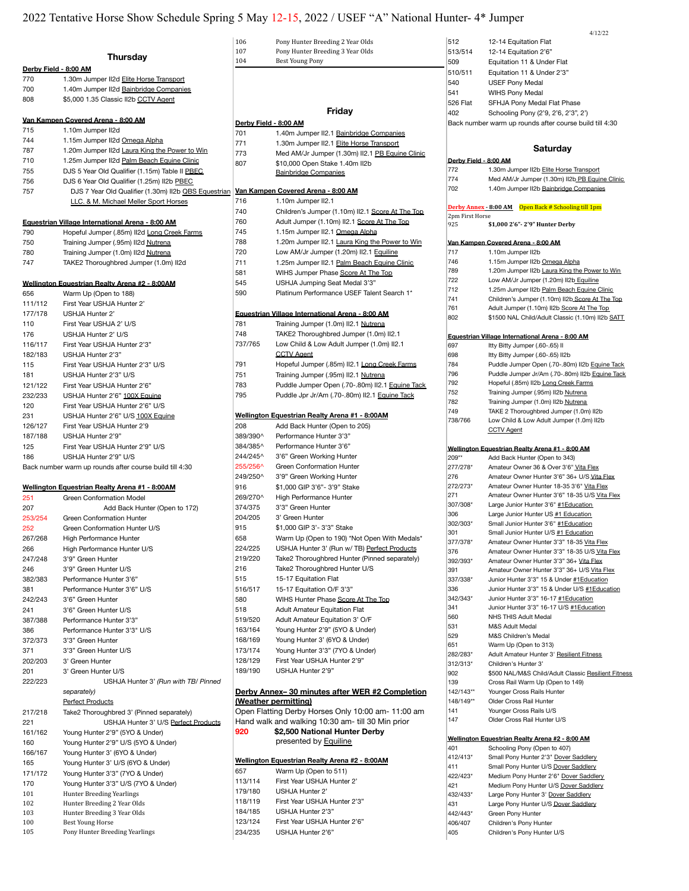# 2022 Tentative Horse Show Schedule Spring 5 May 12-15, 2022 / USEF "A" National Hunter- 4\* Jumper

|                                                                                                                                                                                                                  |                                                           | 106                   | Pony Hunter Breeding 2 Year Olds                                                  | 512                   | 12-14 Equitation Flat                                                        |
|------------------------------------------------------------------------------------------------------------------------------------------------------------------------------------------------------------------|-----------------------------------------------------------|-----------------------|-----------------------------------------------------------------------------------|-----------------------|------------------------------------------------------------------------------|
|                                                                                                                                                                                                                  | <b>Thursday</b>                                           | 107                   | Pony Hunter Breeding 3 Year Olds                                                  | 513/514               | 12-14 Equitation 2'6"                                                        |
|                                                                                                                                                                                                                  | Derby Field - 8:00 AM                                     | 104                   | <b>Best Young Pony</b>                                                            | 509                   | Equitation 11 & Under Flat                                                   |
| 770                                                                                                                                                                                                              | 1.30m Jumper II2d Elite Horse Transport                   |                       |                                                                                   | 510/511               | Equitation 11 & Under 2'3"                                                   |
| 700                                                                                                                                                                                                              | 1.40m Jumper II2d Bainbridge Companies                    |                       |                                                                                   | 540                   | <b>USEF Pony Medal</b>                                                       |
| 808                                                                                                                                                                                                              | \$5,000 1.35 Classic II2b CCTV Agent                      |                       |                                                                                   | 541                   | <b>WIHS Pony Medal</b>                                                       |
|                                                                                                                                                                                                                  |                                                           |                       | Friday                                                                            | 526 Flat              | SFHJA Pony Medal Flat Phase                                                  |
|                                                                                                                                                                                                                  | Van Kampen Covered Arena - 8:00 AM                        | Derby Field - 8:00 AM |                                                                                   | 402                   | Schooling Pony (2'9, 2'6, 2'3",                                              |
| 715                                                                                                                                                                                                              | 1.10m Jumper II2d                                         | 701                   | 1.40m Jumper II2.1 Bainbridge Companies                                           |                       | Back number warm up rounds after course b                                    |
| 744                                                                                                                                                                                                              | 1.15m Jumper II2d Omega Alpha                             | 771                   | 1.30m Jumper II2.1 Elite Horse Transport                                          |                       |                                                                              |
| 787                                                                                                                                                                                                              | 1.20m Jumper II2d Laura King the Power to Win             | 773                   | Med AM/Jr Jumper (1.30m) II2.1 PB Equine Clinic                                   |                       | <b>Saturday</b>                                                              |
| 710                                                                                                                                                                                                              | 1.25m Jumper II2d Palm Beach Equine Clinic                | 807                   | \$10,000 Open Stake 1.40m II2b                                                    | Derby Field - 8:00 AM |                                                                              |
| 755                                                                                                                                                                                                              | DJS 5 Year Old Qualifier (1.15m) Table II PBEC            |                       | <b>Bainbridge Companies</b>                                                       | 772                   | 1.30m Jumper II2b Elite Horse Tra                                            |
| 756                                                                                                                                                                                                              | DJS 6 Year Old Qualifier (1.25m) II2b PBEC                |                       |                                                                                   | 774                   | Med AM/Jr Jumper (1.30m) II2b F                                              |
| 757                                                                                                                                                                                                              | DJS 7 Year Old Qualifier (1.30m) II2b QBS Equestrian      |                       | Van Kampen Covered Arena - 8:00 AM                                                | 702                   | 1.40m Jumper II2b Bainbridge Co                                              |
|                                                                                                                                                                                                                  | LLC. & M. Michael Meller Sport Horses                     | 716                   | 1.10m Jumper II2.1                                                                |                       | Derby Annex - 8:00 AM   Open Back # Schooling                                |
|                                                                                                                                                                                                                  |                                                           | 740                   | Children's Jumper (1.10m) II2.1 Score At The Top                                  | 2pm First Horse       |                                                                              |
|                                                                                                                                                                                                                  | Equestrian Village International Arena - 8:00 AM          | 760                   | Adult Jumper (1.10m) II2.1 Score At The Top                                       | 925                   | \$1,000 2'6" - 2'9" Hunter Derby                                             |
| 790                                                                                                                                                                                                              | Hopeful Jumper (.85m) II2d Long Creek Farms               | 745                   | 1.15m Jumper II2.1 Omega Alpha                                                    |                       |                                                                              |
| 750                                                                                                                                                                                                              | Training Jumper (.95m) II2d Nutrena                       | 788<br>720            | 1.20m Jumper II2.1 Laura King the Power to Win                                    | 717                   | Van Kampen Covered Arena - 8:00 AM<br>1.10m Jumper II2b                      |
| 780<br>747                                                                                                                                                                                                       | Training Jumper (1.0m) II2d Nutrena                       | 711                   | Low AM/Jr Jumper (1.20m) II2.1 Equiline                                           | 746                   | 1.15m Jumper II2b Omega Alpha                                                |
|                                                                                                                                                                                                                  | TAKE2 Thoroughbred Jumper (1.0m) II2d                     | 581                   | 1.25m Jumper II2.1 Palm Beach Equine Clinic<br>WIHS Jumper Phase Score At The Top | 789                   | 1.20m Jumper II2b Laura King the                                             |
|                                                                                                                                                                                                                  | Wellington Equestrian Realty Arena #2 - 8:00AM            | 545                   | USHJA Jumping Seat Medal 3'3"                                                     | 722                   | Low AM/Jr Jumper (1.20m) II2b E                                              |
| 656                                                                                                                                                                                                              | Warm Up (Open to 188)                                     | 590                   | Platinum Performance USEF Talent Search 1*                                        | 712                   | 1.25m Jumper II2b Palm Beach E                                               |
| 111/112                                                                                                                                                                                                          | First Year USHJA Hunter 2'                                |                       |                                                                                   | 741                   | Children's Jumper (1.10m) II2b_So                                            |
| 177/178                                                                                                                                                                                                          | USHJA Hunter 2'                                           |                       | Equestrian Village International Arena - 8:00 AM                                  | 761                   | Adult Jumper (1.10m) II2b Score /                                            |
| 110                                                                                                                                                                                                              | First Year USHJA 2' U/S                                   | 781                   | Training Jumper (1.0m) II2.1 Nutrena                                              | 802                   | \$1500 NAL Child/Adult Classic (1.                                           |
| 176                                                                                                                                                                                                              | USHJA Hunter 2' U/S                                       | 748                   | TAKE2 Thoroughbred Jumper (1.0m) II2.1                                            |                       | Equestrian Village International Arena - 8:00 /                              |
| 116/117                                                                                                                                                                                                          | First Year USHJA Hunter 2'3"                              | 737/765               | Low Child & Low Adult Jumper (1.0m) II2.1                                         | 697                   | Itty Bitty Jumper (.60-.65) II                                               |
| 182/183                                                                                                                                                                                                          | USHJA Hunter 2'3"                                         |                       | <b>CCTV Agent</b>                                                                 | 698                   | Itty Bitty Jumper (.60-.65) II2b                                             |
| 115                                                                                                                                                                                                              | First Year USHJA Hunter 2'3" U/S                          | 791                   | Hopeful Jumper (.85m) II2.1 Long Creek Farms                                      | 784                   | Puddle Jumper Open (.70-.80m) I                                              |
| 181                                                                                                                                                                                                              | USHJA Hunter 2'3" U/S                                     | 751                   | Training Jumper (.95m) II2.1 Nutrena                                              | 796                   | Puddle Jumper Jr/Am (.70-.80m)                                               |
| 121/122                                                                                                                                                                                                          | First Year USHJA Hunter 2'6"                              | 783                   | Puddle Jumper Open (.70-.80m) II2.1 Equine Tack                                   | 792                   | Hopeful (.85m) II2b Long Creek Fa                                            |
| 232/233                                                                                                                                                                                                          | USHJA Hunter 2'6" 100X Equine                             | 795                   | Puddle Jpr Jr/Am (.70-.80m) II2.1 Equine Tack                                     | 752                   | Training Jumper (.95m) II2b Nutrer                                           |
| 120                                                                                                                                                                                                              | First Year USHJA Hunter 2'6" U/S                          |                       |                                                                                   | 782<br>749            | Training Jumper (1.0m) II2b Nutrer<br>TAKE 2 Thoroughbred Jumper (1.         |
| 231                                                                                                                                                                                                              | USHJA Hunter 2'6" U/S 100X Equine                         |                       | <b>Wellington Equestrian Realty Arena #1 - 8:00AM</b>                             | 738/766               | Low Child & Low Adult Jumper (1                                              |
| 126/127                                                                                                                                                                                                          | First Year USHJA Hunter 2'9                               | 208                   | Add Back Hunter (Open to 205)                                                     |                       | <b>CCTV Agent</b>                                                            |
| 187/188                                                                                                                                                                                                          | USHJA Hunter 2'9"                                         | 389/390^              | Performance Hunter 3'3"                                                           |                       |                                                                              |
| 125                                                                                                                                                                                                              | First Year USHJA Hunter 2'9" U/S                          | 384/385^              | Performance Hunter 3'6"                                                           |                       | Wellington Equestrian Realty Arena #1 - 8:00                                 |
| 186                                                                                                                                                                                                              | USHJA Hunter 2'9" U/S                                     | 244/245^              | 3'6" Green Working Hunter                                                         | 209**                 | Add Back Hunter (Open to 343)                                                |
|                                                                                                                                                                                                                  | Back number warm up rounds after course build till 4:30   | 255/256^              | Green Conformation Hunter                                                         | 277/278*              | Amateur Owner 36 & Over 3'6" Vit                                             |
|                                                                                                                                                                                                                  |                                                           | 249/250^              | 3'9" Green Working Hunter                                                         | 276<br>272/273*       | Amateur Owner Hunter 3'6" 36+ l<br>Amateur Owner Hunter 18-35 3'6'           |
|                                                                                                                                                                                                                  | Wellington Equestrian Realty Arena #1 - 8:00AM            | 916                   | \$1,000 GIP 3'6"- 3'9" Stake                                                      | 271                   | Amateur Owner Hunter 3'6" 18-35                                              |
| 251                                                                                                                                                                                                              | Green Conformation Model<br>Add Back Hunter (Open to 172) | 269/270^<br>374/375   | High Performance Hunter<br>3'3" Green Hunter                                      | 307/308*              | Large Junior Hunter 3'6" #1Educa                                             |
| 207<br>253/254                                                                                                                                                                                                   | Green Conformation Hunter                                 | 204/205               | 3' Green Hunter                                                                   | 306                   | Large Junior Hunter US #1 Educa                                              |
| 252                                                                                                                                                                                                              | Green Conformation Hunter U/S                             | 915                   | \$1,000 GIP 3'- 3'3" Stake                                                        | 302/303*              | Small Junior Hunter 3'6" #1Educa                                             |
| 267/268                                                                                                                                                                                                          |                                                           |                       |                                                                                   | 301                   | Small Junior Hunter U/S #1 Educa                                             |
|                                                                                                                                                                                                                  |                                                           |                       |                                                                                   |                       |                                                                              |
|                                                                                                                                                                                                                  | High Performance Hunter                                   | 658                   | Warm Up (Open to 190) *Not Open With Medals*                                      | 377/378*              | Amateur Owner Hunter 3'3" 18-35                                              |
|                                                                                                                                                                                                                  | High Performance Hunter U/S                               | 224/225               | USHJA Hunter 3' (Run w/ TB) Perfect Products                                      | 376                   | Amateur Owner Hunter 3'3" 18-35                                              |
|                                                                                                                                                                                                                  | 3'9" Green Hunter                                         | 219/220               | Take2 Thoroughbred Hunter (Pinned separately)                                     | 392/393*              | Amateur Owner Hunter 3'3" 36+ \                                              |
|                                                                                                                                                                                                                  | 3'9" Green Hunter U/S<br>Performance Hunter 3'6"          | 216<br>515            | Take2 Thoroughbred Hunter U/S<br>15-17 Equitation Flat                            | 391                   | Amateur Owner Hunter 3'3" 36+ l                                              |
|                                                                                                                                                                                                                  | Performance Hunter 3'6" U/S                               | 516/517               | 15-17 Equitation O/F 3'3"                                                         | 337/338*<br>336       | Junior Hunter 3'3" 15 & Under #1<br>Junior Hunter 3'3" 15 & Under U/S        |
|                                                                                                                                                                                                                  | 3'6" Green Hunter                                         | 580                   | WIHS Hunter Phase Score At The Top                                                | 342/343*              | Junior Hunter 3'3" 16-17 #1Educa                                             |
|                                                                                                                                                                                                                  | 3'6" Green Hunter U/S                                     | 518                   | <b>Adult Amateur Equitation Flat</b>                                              | 341                   | Junior Hunter 3'3" 16-17 U/S #1E                                             |
|                                                                                                                                                                                                                  | Performance Hunter 3'3"                                   | 519/520               | Adult Amateur Equitation 3' O/F                                                   | 560                   | NHS THIS Adult Medal                                                         |
|                                                                                                                                                                                                                  | Performance Hunter 3'3" U/S                               | 163/164               | Young Hunter 2'9" (5YO & Under)                                                   | 531                   | M&S Adult Medal                                                              |
|                                                                                                                                                                                                                  | 3'3" Green Hunter                                         | 168/169               | Young Hunter 3' (6YO & Under)                                                     | 529                   | M&S Children's Medal                                                         |
|                                                                                                                                                                                                                  | 3'3" Green Hunter U/S                                     | 173/174               | Young Hunter 3'3" (7YO & Under)                                                   | 651                   | Warm Up (Open to 313)                                                        |
|                                                                                                                                                                                                                  | 3' Green Hunter                                           | 128/129               | First Year USHJA Hunter 2'9"                                                      | 282/283*              | Adult Amateur Hunter 3' Resilient<br>Children's Hunter 3'                    |
|                                                                                                                                                                                                                  | 3' Green Hunter U/S                                       | 189/190               | USHJA Hunter 2'9"                                                                 | 312/313*<br>902       | \$500 NAL/M&S Child/Adult Class                                              |
|                                                                                                                                                                                                                  | USHJA Hunter 3' (Run with TB/ Pinned                      |                       |                                                                                   | 139                   | Cross Rail Warm Up (Open to 149                                              |
|                                                                                                                                                                                                                  | separately)                                               |                       | Derby Annex-30 minutes after WER #2 Completion                                    | 142/143**             | Younger Cross Rails Hunter                                                   |
|                                                                                                                                                                                                                  | <b>Perfect Products</b>                                   |                       | (Weather permitting)                                                              | 148/149**             | Older Cross Rail Hunter                                                      |
|                                                                                                                                                                                                                  | Take2 Thoroughbred 3' (Pinned separately)                 |                       | Open Flatting Derby Horses Only 10:00 am- 11:00 am                                | 141                   | Younger Cross Rails U/S                                                      |
|                                                                                                                                                                                                                  | USHJA Hunter 3' U/S Perfect Products                      |                       | Hand walk and walking 10:30 am- till 30 Min prior                                 | 147                   | Older Cross Rail Hunter U/S                                                  |
|                                                                                                                                                                                                                  | Young Hunter 2'9" (5YO & Under)                           | 920                   | \$2,500 National Hunter Derby                                                     |                       |                                                                              |
|                                                                                                                                                                                                                  | Young Hunter 2'9" U/S (5YO & Under)                       |                       | presented by Equiline                                                             | 401                   | Wellington Equestrian Realty Arena #2 - 8:00<br>Schooling Pony (Open to 407) |
|                                                                                                                                                                                                                  | Young Hunter 3' (6YO & Under)                             |                       |                                                                                   | 412/413*              | Small Pony Hunter 2'3" Dover Sad                                             |
|                                                                                                                                                                                                                  | Young Hunter 3' U/S (6YO & Under)                         |                       | Wellington Equestrian Realty Arena #2 - 8:00AM                                    | 411                   | Small Pony Hunter U/S Dover Sad                                              |
|                                                                                                                                                                                                                  | Young Hunter 3'3" (7YO & Under)                           | 657                   | Warm Up (Open to 511)                                                             | 422/423*              | Medium Pony Hunter 2'6" Dover 9                                              |
|                                                                                                                                                                                                                  | Young Hunter 3'3" U/S (7YO & Under)                       | 113/114               | First Year USHJA Hunter 2'                                                        | 421                   | Medium Pony Hunter U/S Dover S                                               |
|                                                                                                                                                                                                                  | Hunter Breeding Yearlings                                 | 179/180               | USHJA Hunter 2'                                                                   | 432/433*              | Large Pony Hunter 3' Dover Sadd                                              |
| 266<br>247/248<br>246<br>382/383<br>381<br>242/243<br>241<br>387/388<br>386<br>372/373<br>371<br>202/203<br>201<br>222/223<br>217/218<br>221<br>161/162<br>160<br>166/167<br>165<br>171/172<br>170<br>101<br>102 | Hunter Breeding 2 Year Olds                               | 118/119               | First Year USHJA Hunter 2'3"                                                      | 431                   | Large Pony Hunter U/S Dover Sad                                              |
| 103<br>100                                                                                                                                                                                                       | Hunter Breeding 3 Year Olds<br><b>Best Young Horse</b>    | 184/185<br>123/124    | USHJA Hunter 2'3"<br>First Year USHJA Hunter 2'6"                                 | 442/443*<br>406/407   | Green Pony Hunter<br>Children's Pony Hunter                                  |

| 402                   | Schooling Pony (2'9, 2'6, 2'3", 2')                                         |
|-----------------------|-----------------------------------------------------------------------------|
|                       | Back number warm up rounds after course build till 4:30                     |
|                       |                                                                             |
|                       |                                                                             |
|                       | Saturday                                                                    |
| Derby Field - 8:00 AM |                                                                             |
| 772                   | 1.30m Jumper II2b Elite Horse Transport                                     |
| 774<br>702            | Med AM/Jr Jumper (1.30m) II2b_PB_Equine Clinic                              |
|                       | 1.40m Jumper II2b Bainbridge Companies                                      |
|                       | Open Back # Schooling till 1pm<br>Derby Annex - 8:00 AM                     |
| 2pm First Horse       |                                                                             |
| 925                   | \$1,000 2'6" - 2'9" Hunter Derby                                            |
|                       |                                                                             |
|                       | <u>Van Kampen Covered Arena - 8:00 AM</u>                                   |
| 717                   | 1.10m Jumper II2b                                                           |
| 746                   | 1.15m Jumper II2b Omega Alpha                                               |
| 789                   | 1.20m Jumper II2b Laura King the Power to Win                               |
| 722                   | Low AM/Jr Jumper (1.20m) II2b_Equiline                                      |
| 712                   | 1.25m Jumper II2b Palm Beach Equine Clinic                                  |
| 741                   | Children's Jumper (1.10m) II2b Score At The Top                             |
| 761                   | Adult Jumper (1.10m) II2b Score At The Top                                  |
| 802                   | \$1500 NAL Child/Adult Classic (1.10m) II2b SATT                            |
|                       | Equestrian Village International Arena - 8:00 AM                            |
| 697                   | Itty Bitty Jumper (.60-.65) II                                              |
| 698                   | Itty Bitty Jumper (.60-.65) II2b                                            |
| 784                   | Puddle Jumper Open (.70-.80m) II2b Equine Tack                              |
| 796                   | Puddle Jumper Jr/Am (.70-.80m) II2b Equine Tack                             |
| 792                   | Hopeful (.85m) II2b Long Creek Farms                                        |
| 752                   | Training Jumper (.95m) II2b Nutrena                                         |
| 782                   | Training Jumper (1.0m) II2b Nutrena                                         |
| 749                   | TAKE 2 Thoroughbred Jumper (1.0m) II2b                                      |
| 738/766               | Low Child & Low Adult Jumper (1.0m) II2b                                    |
|                       | <b>CCTV Agent</b>                                                           |
|                       |                                                                             |
|                       | <u> Wellington Equestrian Realty Arena #1 - 8:00 AM</u>                     |
| 209**                 | Add Back Hunter (Open to 343)                                               |
| 277/278*              | Amateur Owner 36 & Over 3'6" Vita Flex                                      |
| 276                   | Amateur Owner Hunter 3'6" 36+ U/S Vita Flex                                 |
| 272/273*              | Amateur Owner Hunter 18-35 3'6" Vita Flex                                   |
| 271                   | Amateur Owner Hunter 3'6" 18-35 U/S Vita Flex                               |
| 307/308*<br>306       | Large Junior Hunter 3'6" #1Education                                        |
| 302/303*              | Large Junior Hunter US #1 Education<br>Small Junior Hunter 3'6" #1Education |
| 301                   | Small Junior Hunter U/S #1 Education                                        |
| 377/378*              | Amateur Owner Hunter 3'3" 18-35 Vita Flex                                   |
| 376                   | Amateur Owner Hunter 3'3" 18-35 U/S Vita Flex                               |
| 392/393*              | Amateur Owner Hunter 3'3" 36+ Vita Flex                                     |
| 391                   | Amateur Owner Hunter 3'3" 36+ U/S Vita Flex                                 |
| 337/338*              | Junior Hunter 3'3" 15 & Under #1Education                                   |
| 336                   | Junior Hunter 3'3" 15 & Under U/S #1Education                               |
| 342/343*              | Junior Hunter 3'3" 16-17 #1Education                                        |
| 341                   | Junior Hunter 3'3" 16-17 U/S #1Education                                    |
| 560                   | NHS THIS Adult Medal                                                        |
| 531                   | M&S Adult Medal                                                             |
| 529                   | M&S Children's Medal                                                        |
| 651                   | Warm Up (Open to 313)                                                       |
| 282/283*              | Adult Amateur Hunter 3' Resilient Fitness                                   |
| 312/313*              | Children's Hunter 3'                                                        |
| 902                   | \$500 NAL/M&S Child/Adult Classic Resilient Fitness                         |
| 139                   | Cross Rail Warm Up (Open to 149)                                            |
| 142/143**             | Younger Cross Rails Hunter                                                  |
| 148/149**             | Older Cross Rail Hunter                                                     |
| 141                   | Younger Cross Rails U/S                                                     |
| 147                   | Older Cross Rail Hunter U/S                                                 |
|                       |                                                                             |

4/12/22

## **Wellington Equestrian Realty Arena #2 - 8:00 AM**

| 401      | Schooling Pony (Open to 407)           |
|----------|----------------------------------------|
| 412/413* | Small Pony Hunter 2'3" Dover Saddlery  |
| 411      | Small Pony Hunter U/S Dover Saddlery   |
| 422/423* | Medium Pony Hunter 2'6" Dover Saddlery |
| 421      | Medium Pony Hunter U/S Dover Saddlery  |
| 432/433* | Large Pony Hunter 3' Dover Saddlery    |
| 431      | Large Pony Hunter U/S Dover Saddlery   |
| 442/443* | Green Pony Hunter                      |
| 406/407  | Children's Pony Hunter                 |
| 405      | Children's Pony Hunter U/S             |
|          |                                        |